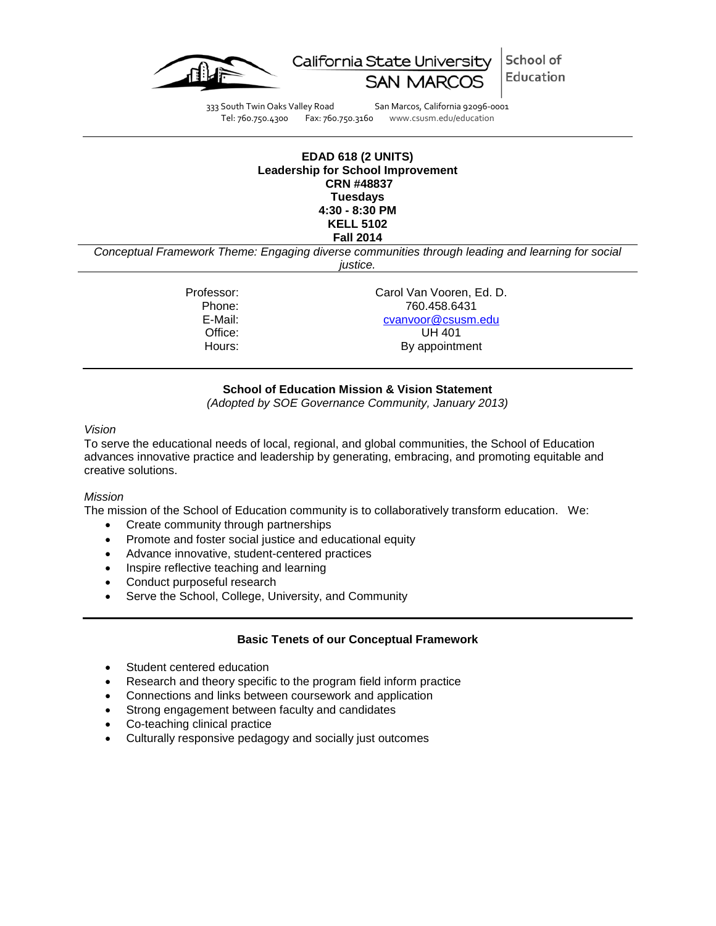

School of California State University Education

333 South Twin Oaks Valley Road San Marcos, California 92096-0001<br>Tel: 760.750.4300 Fax: 760.750.3160 www.csusm.edu/education

Fax: 760.750.3160 www.csusm.edu/education

### **EDAD 618 (2 UNITS) Leadership for School Improvement CRN #48837 Tuesdays 4:30 - 8:30 PM KELL 5102 Fall 2014**

*Conceptual Framework Theme: Engaging diverse communities through leading and learning for social justice.*

Professor: Carol Van Vooren, Ed. D. Phone: 760.458.6431 E-Mail: [cvanvoor@csusm.edu](mailto:cvanvoor@csusm.edu) Office: UH 401 Hours: By appointment

# **School of Education Mission & Vision Statement**

*(Adopted by SOE Governance Community, January 2013)*

## *Vision*

To serve the educational needs of local, regional, and global communities, the School of Education advances innovative practice and leadership by generating, embracing, and promoting equitable and creative solutions.

# *Mission*

The mission of the School of Education community is to collaboratively transform education. We:

- Create community through partnerships
- Promote and foster social justice and educational equity
- Advance innovative, student-centered practices
- Inspire reflective teaching and learning
- Conduct purposeful research
- Serve the School, College, University, and Community

# **Basic Tenets of our Conceptual Framework**

- Student centered education
- Research and theory specific to the program field inform practice
- Connections and links between coursework and application
- Strong engagement between faculty and candidates
- Co-teaching clinical practice
- Culturally responsive pedagogy and socially just outcomes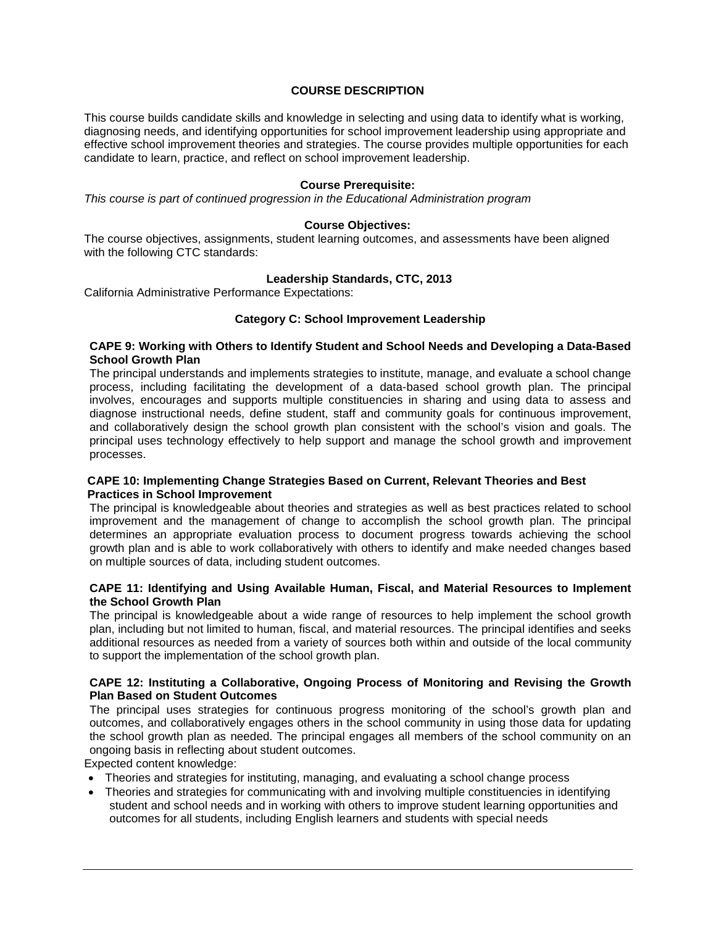## **COURSE DESCRIPTION**

This course builds candidate skills and knowledge in selecting and using data to identify what is working, diagnosing needs, and identifying opportunities for school improvement leadership using appropriate and effective school improvement theories and strategies. The course provides multiple opportunities for each candidate to learn, practice, and reflect on school improvement leadership.

## **Course Prerequisite:**

*This course is part of continued progression in the Educational Administration program*

## **Course Objectives:**

The course objectives, assignments, student learning outcomes, and assessments have been aligned with the following CTC standards:

### **Leadership Standards, CTC, 2013**

California Administrative Performance Expectations:

#### **Category C: School Improvement Leadership**

### **CAPE 9: Working with Others to Identify Student and School Needs and Developing a Data-Based School Growth Plan**

The principal understands and implements strategies to institute, manage, and evaluate a school change process, including facilitating the development of a data-based school growth plan. The principal involves, encourages and supports multiple constituencies in sharing and using data to assess and diagnose instructional needs, define student, staff and community goals for continuous improvement, and collaboratively design the school growth plan consistent with the school's vision and goals. The principal uses technology effectively to help support and manage the school growth and improvement processes.

#### **CAPE 10: Implementing Change Strategies Based on Current, Relevant Theories and Best Practices in School Improvement**

The principal is knowledgeable about theories and strategies as well as best practices related to school improvement and the management of change to accomplish the school growth plan. The principal determines an appropriate evaluation process to document progress towards achieving the school growth plan and is able to work collaboratively with others to identify and make needed changes based on multiple sources of data, including student outcomes.

### **CAPE 11: Identifying and Using Available Human, Fiscal, and Material Resources to Implement the School Growth Plan**

The principal is knowledgeable about a wide range of resources to help implement the school growth plan, including but not limited to human, fiscal, and material resources. The principal identifies and seeks additional resources as needed from a variety of sources both within and outside of the local community to support the implementation of the school growth plan.

## **CAPE 12: Instituting a Collaborative, Ongoing Process of Monitoring and Revising the Growth Plan Based on Student Outcomes**

The principal uses strategies for continuous progress monitoring of the school's growth plan and outcomes, and collaboratively engages others in the school community in using those data for updating the school growth plan as needed. The principal engages all members of the school community on an ongoing basis in reflecting about student outcomes.

Expected content knowledge:

- Theories and strategies for instituting, managing, and evaluating a school change process
- Theories and strategies for communicating with and involving multiple constituencies in identifying student and school needs and in working with others to improve student learning opportunities and outcomes for all students, including English learners and students with special needs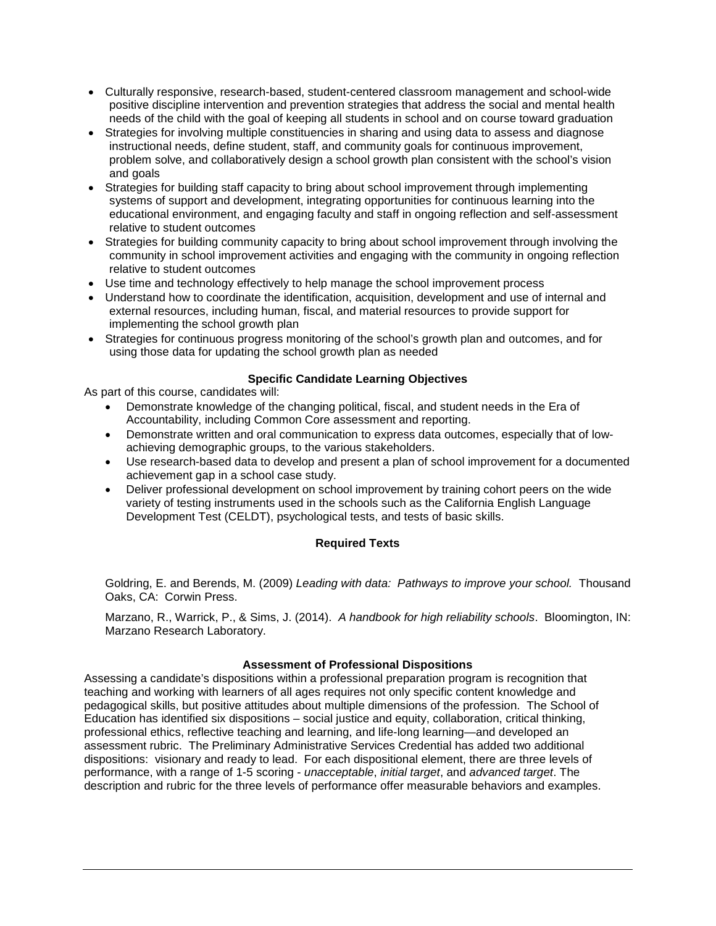- Culturally responsive, research-based, student-centered classroom management and school-wide positive discipline intervention and prevention strategies that address the social and mental health needs of the child with the goal of keeping all students in school and on course toward graduation
- Strategies for involving multiple constituencies in sharing and using data to assess and diagnose instructional needs, define student, staff, and community goals for continuous improvement, problem solve, and collaboratively design a school growth plan consistent with the school's vision and goals
- Strategies for building staff capacity to bring about school improvement through implementing systems of support and development, integrating opportunities for continuous learning into the educational environment, and engaging faculty and staff in ongoing reflection and self-assessment relative to student outcomes
- Strategies for building community capacity to bring about school improvement through involving the community in school improvement activities and engaging with the community in ongoing reflection relative to student outcomes
- Use time and technology effectively to help manage the school improvement process
- Understand how to coordinate the identification, acquisition, development and use of internal and external resources, including human, fiscal, and material resources to provide support for implementing the school growth plan
- Strategies for continuous progress monitoring of the school's growth plan and outcomes, and for using those data for updating the school growth plan as needed

# **Specific Candidate Learning Objectives**

As part of this course, candidates will:

- Demonstrate knowledge of the changing political, fiscal, and student needs in the Era of Accountability, including Common Core assessment and reporting.
- Demonstrate written and oral communication to express data outcomes, especially that of lowachieving demographic groups, to the various stakeholders.
- Use research-based data to develop and present a plan of school improvement for a documented achievement gap in a school case study.
- Deliver professional development on school improvement by training cohort peers on the wide variety of testing instruments used in the schools such as the California English Language Development Test (CELDT), psychological tests, and tests of basic skills.

# **Required Texts**

Goldring, E. and Berends, M. (2009) *Leading with data: Pathways to improve your school.* Thousand Oaks, CA: Corwin Press.

Marzano, R., Warrick, P., & Sims, J. (2014). *A handbook for high reliability schools*. Bloomington, IN: Marzano Research Laboratory.

# **Assessment of Professional Dispositions**

Assessing a candidate's dispositions within a professional preparation program is recognition that teaching and working with learners of all ages requires not only specific content knowledge and pedagogical skills, but positive attitudes about multiple dimensions of the profession. The School of Education has identified six dispositions – social justice and equity, collaboration, critical thinking, professional ethics, reflective teaching and learning, and life-long learning—and developed an assessment rubric. The Preliminary Administrative Services Credential has added two additional dispositions: visionary and ready to lead. For each dispositional element, there are three levels of performance, with a range of 1-5 scoring - *unacceptable*, *initial target*, and *advanced target*. The description and rubric for the three levels of performance offer measurable behaviors and examples.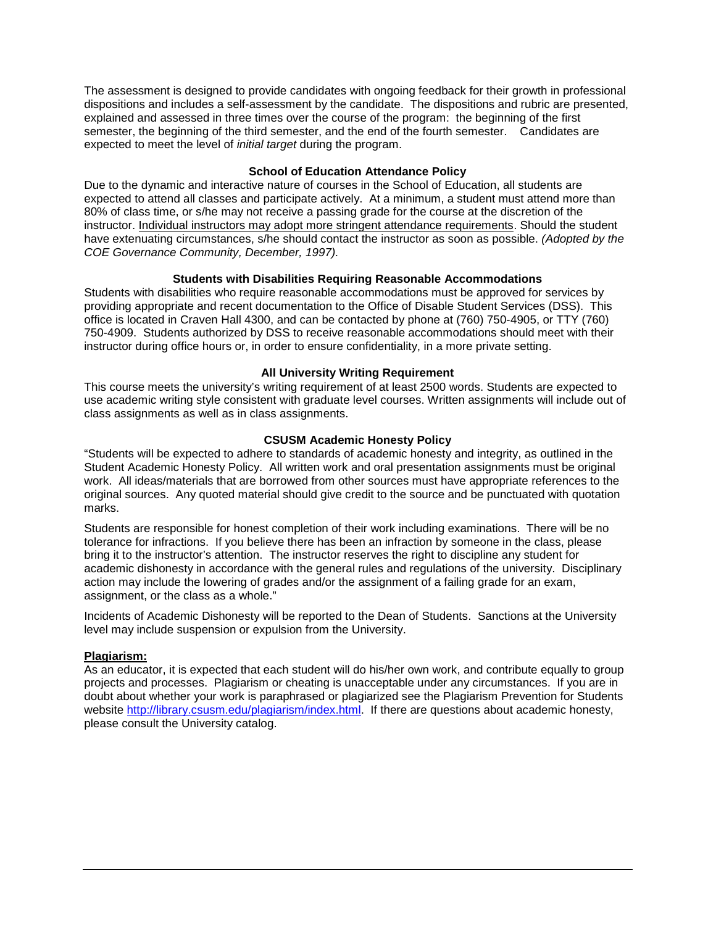The assessment is designed to provide candidates with ongoing feedback for their growth in professional dispositions and includes a self-assessment by the candidate. The dispositions and rubric are presented, explained and assessed in three times over the course of the program: the beginning of the first semester, the beginning of the third semester, and the end of the fourth semester. Candidates are expected to meet the level of *initial target* during the program.

## **School of Education Attendance Policy**

Due to the dynamic and interactive nature of courses in the School of Education, all students are expected to attend all classes and participate actively. At a minimum, a student must attend more than 80% of class time, or s/he may not receive a passing grade for the course at the discretion of the instructor. Individual instructors may adopt more stringent attendance requirements. Should the student have extenuating circumstances, s/he should contact the instructor as soon as possible. *(Adopted by the COE Governance Community, December, 1997).* 

## **Students with Disabilities Requiring Reasonable Accommodations**

Students with disabilities who require reasonable accommodations must be approved for services by providing appropriate and recent documentation to the Office of Disable Student Services (DSS). This office is located in Craven Hall 4300, and can be contacted by phone at (760) 750-4905, or TTY (760) 750-4909. Students authorized by DSS to receive reasonable accommodations should meet with their instructor during office hours or, in order to ensure confidentiality, in a more private setting.

# **All University Writing Requirement**

This course meets the university's writing requirement of at least 2500 words. Students are expected to use academic writing style consistent with graduate level courses. Written assignments will include out of class assignments as well as in class assignments.

## **CSUSM Academic Honesty Policy**

"Students will be expected to adhere to standards of academic honesty and integrity, as outlined in the Student Academic Honesty Policy. All written work and oral presentation assignments must be original work. All ideas/materials that are borrowed from other sources must have appropriate references to the original sources. Any quoted material should give credit to the source and be punctuated with quotation marks.

Students are responsible for honest completion of their work including examinations. There will be no tolerance for infractions. If you believe there has been an infraction by someone in the class, please bring it to the instructor's attention. The instructor reserves the right to discipline any student for academic dishonesty in accordance with the general rules and regulations of the university. Disciplinary action may include the lowering of grades and/or the assignment of a failing grade for an exam, assignment, or the class as a whole."

Incidents of Academic Dishonesty will be reported to the Dean of Students. Sanctions at the University level may include suspension or expulsion from the University.

## **Plagiarism:**

As an educator, it is expected that each student will do his/her own work, and contribute equally to group projects and processes. Plagiarism or cheating is unacceptable under any circumstances. If you are in doubt about whether your work is paraphrased or plagiarized see the Plagiarism Prevention for Students website [http://library.csusm.edu/plagiarism/index.html.](http://library.csusm.edu/plagiarism/index.html) If there are questions about academic honesty, please consult the University catalog.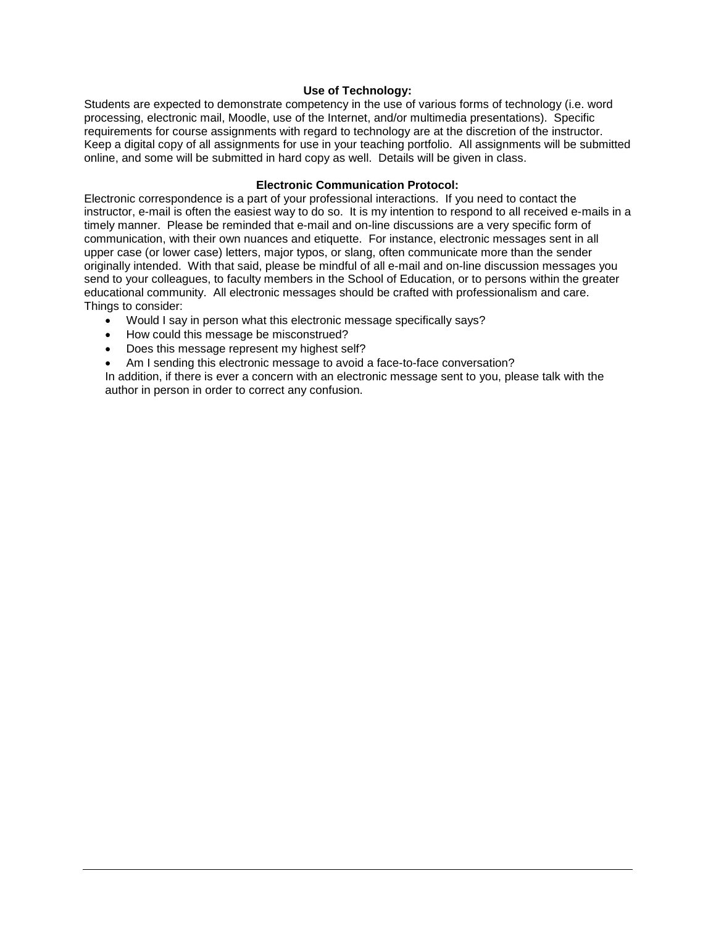## **Use of Technology:**

Students are expected to demonstrate competency in the use of various forms of technology (i.e. word processing, electronic mail, Moodle, use of the Internet, and/or multimedia presentations). Specific requirements for course assignments with regard to technology are at the discretion of the instructor. Keep a digital copy of all assignments for use in your teaching portfolio. All assignments will be submitted online, and some will be submitted in hard copy as well. Details will be given in class.

## **Electronic Communication Protocol:**

Electronic correspondence is a part of your professional interactions. If you need to contact the instructor, e-mail is often the easiest way to do so. It is my intention to respond to all received e-mails in a timely manner. Please be reminded that e-mail and on-line discussions are a very specific form of communication, with their own nuances and etiquette. For instance, electronic messages sent in all upper case (or lower case) letters, major typos, or slang, often communicate more than the sender originally intended. With that said, please be mindful of all e-mail and on-line discussion messages you send to your colleagues, to faculty members in the School of Education, or to persons within the greater educational community. All electronic messages should be crafted with professionalism and care. Things to consider:

- Would I say in person what this electronic message specifically says?
- How could this message be misconstrued?
- Does this message represent my highest self?

Am I sending this electronic message to avoid a face-to-face conversation?

In addition, if there is ever a concern with an electronic message sent to you, please talk with the author in person in order to correct any confusion.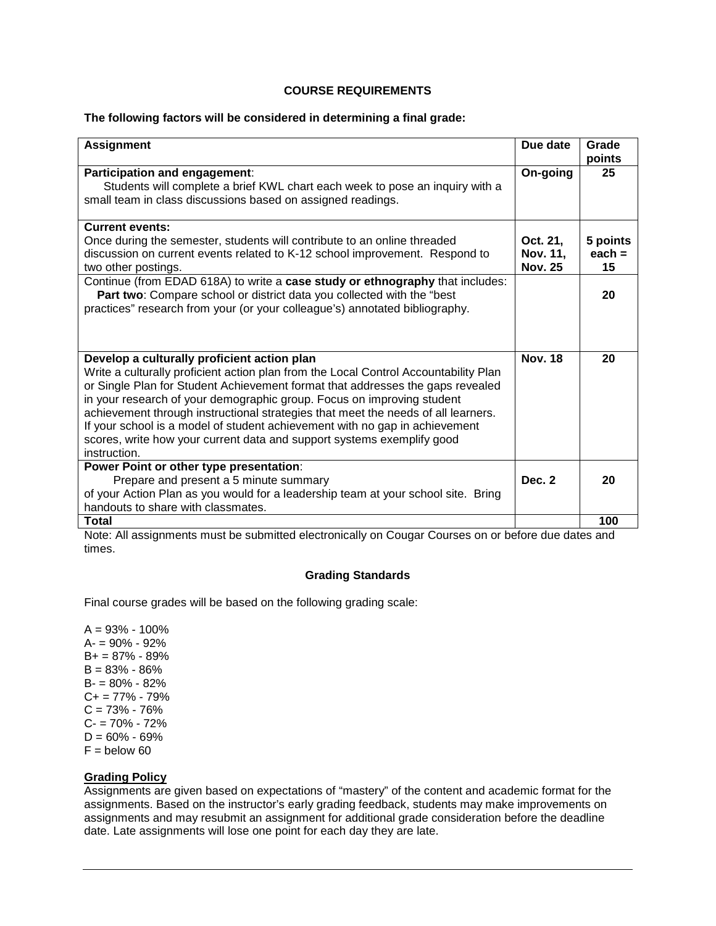## **COURSE REQUIREMENTS**

### **The following factors will be considered in determining a final grade:**

| <b>Assignment</b>                                                                                                                                                                                                                                                                                                                                                                                                                                                                                                                                             | Due date                               | Grade<br>points            |
|---------------------------------------------------------------------------------------------------------------------------------------------------------------------------------------------------------------------------------------------------------------------------------------------------------------------------------------------------------------------------------------------------------------------------------------------------------------------------------------------------------------------------------------------------------------|----------------------------------------|----------------------------|
| Participation and engagement:<br>Students will complete a brief KWL chart each week to pose an inquiry with a<br>small team in class discussions based on assigned readings.                                                                                                                                                                                                                                                                                                                                                                                  | On-going                               | 25                         |
| <b>Current events:</b><br>Once during the semester, students will contribute to an online threaded<br>discussion on current events related to K-12 school improvement. Respond to<br>two other postings.                                                                                                                                                                                                                                                                                                                                                      | Oct. 21,<br>Nov. 11,<br><b>Nov. 25</b> | 5 points<br>each $=$<br>15 |
| Continue (from EDAD 618A) to write a case study or ethnography that includes:<br>Part two: Compare school or district data you collected with the "best"<br>practices" research from your (or your colleague's) annotated bibliography.                                                                                                                                                                                                                                                                                                                       |                                        | 20                         |
| Develop a culturally proficient action plan<br>Write a culturally proficient action plan from the Local Control Accountability Plan<br>or Single Plan for Student Achievement format that addresses the gaps revealed<br>in your research of your demographic group. Focus on improving student<br>achievement through instructional strategies that meet the needs of all learners.<br>If your school is a model of student achievement with no gap in achievement<br>scores, write how your current data and support systems exemplify good<br>instruction. | <b>Nov. 18</b>                         | 20                         |
| Power Point or other type presentation:<br>Prepare and present a 5 minute summary<br>of your Action Plan as you would for a leadership team at your school site. Bring<br>handouts to share with classmates.                                                                                                                                                                                                                                                                                                                                                  | Dec. 2                                 | 20                         |
| <b>Total</b>                                                                                                                                                                                                                                                                                                                                                                                                                                                                                                                                                  |                                        | 100                        |

Note: All assignments must be submitted electronically on Cougar Courses on or before due dates and times.

## **Grading Standards**

Final course grades will be based on the following grading scale:

 $A = 93\% - 100\%$ A- = 90% - 92% B+ = 87% - 89%  $B = 83\% - 86\%$  $B = 80\% - 82\%$  $C+= 77\% - 79\%$  $C = 73\% - 76\%$ C- = 70% - 72%  $D = 60\% - 69\%$  $F =$  below 60

## **Grading Policy**

Assignments are given based on expectations of "mastery" of the content and academic format for the assignments. Based on the instructor's early grading feedback, students may make improvements on assignments and may resubmit an assignment for additional grade consideration before the deadline date. Late assignments will lose one point for each day they are late.